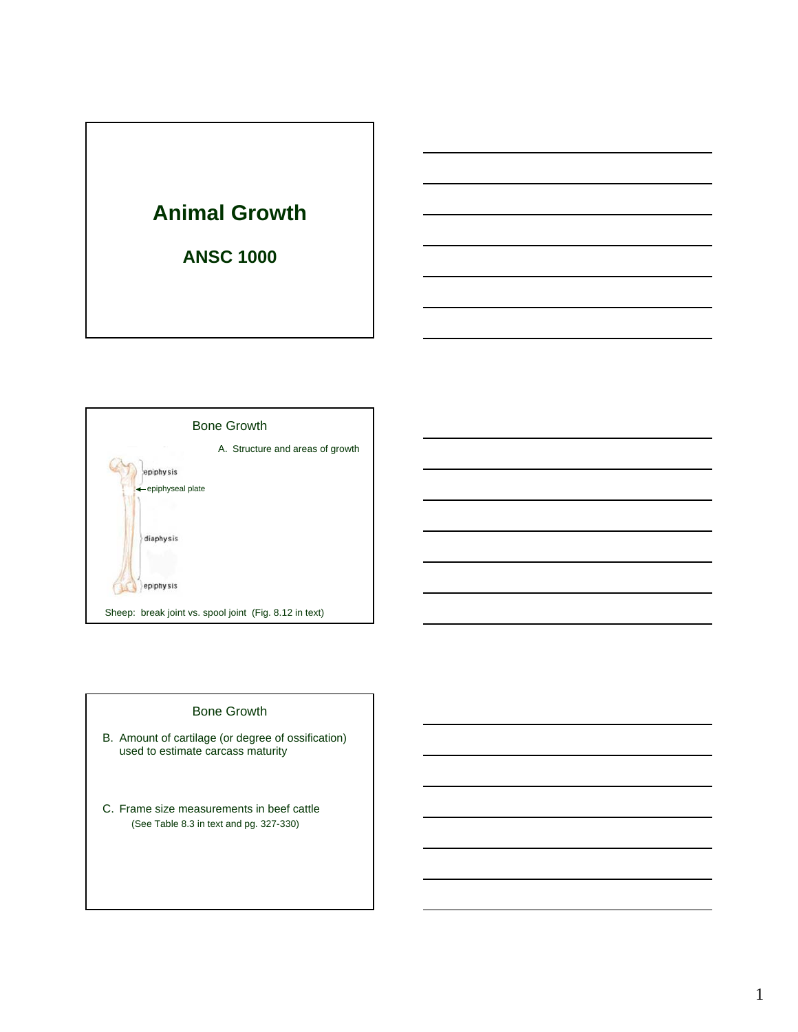



#### Bone Growth

- B. Amount of cartilage (or degree of ossification) used to estimate carcass maturity
- C. Frame size measurements in beef cattle (See Table 8.3 in text and pg. 327-330)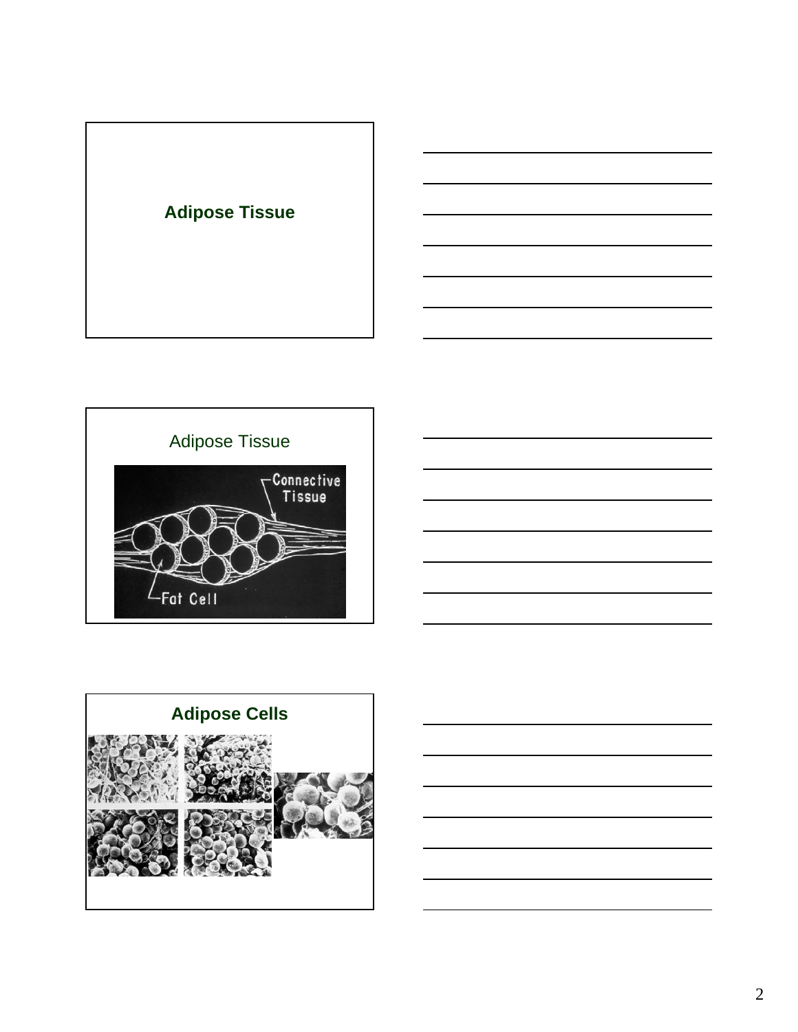



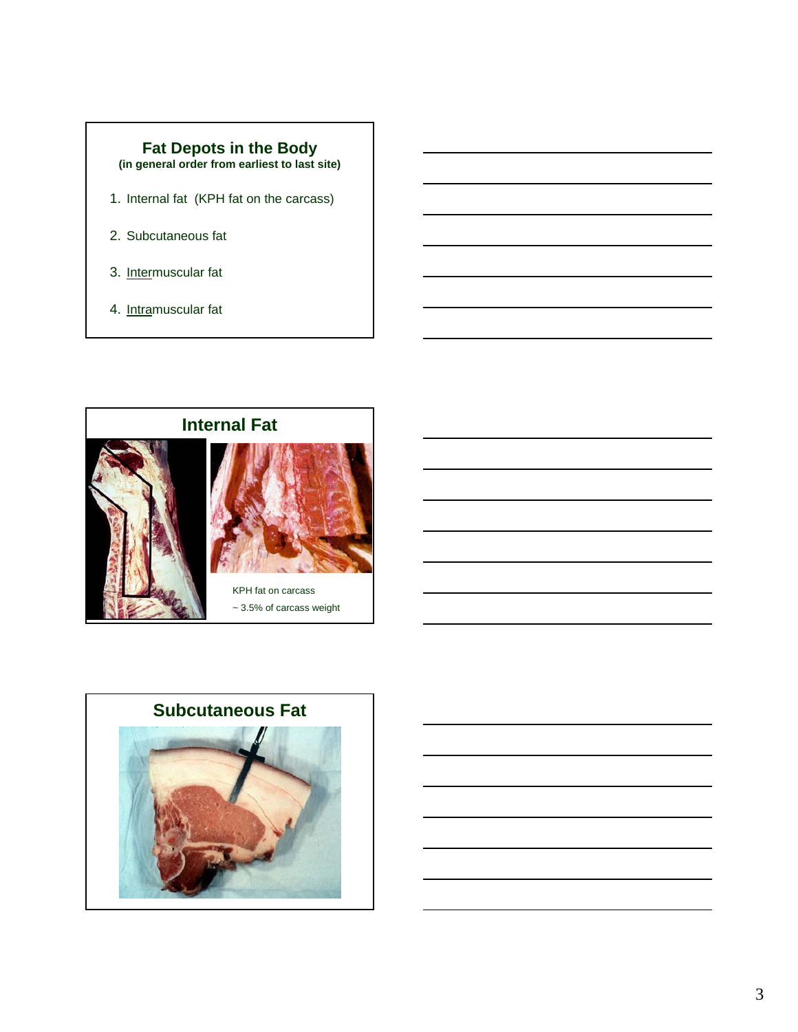

- 1. Internal fat (KPH fat on the carcass)
- 2. Subcutaneous fat
- 3. Intermuscular fat
- 4. Intramuscular fat



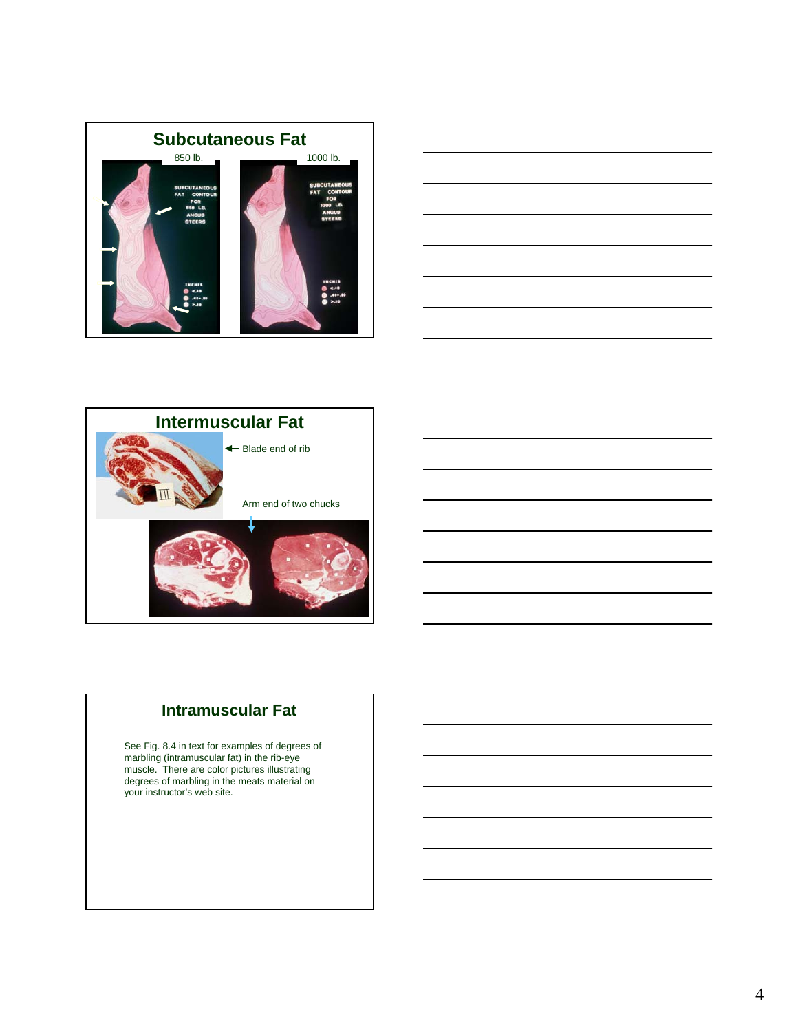





# **Intramuscular Fat**

See Fig. 8.4 in text for examples of degrees of marbling (intramuscular fat) in the rib-eye muscle. There are color pictures illustrating degrees of marbling in the meats material on your instructor's web site.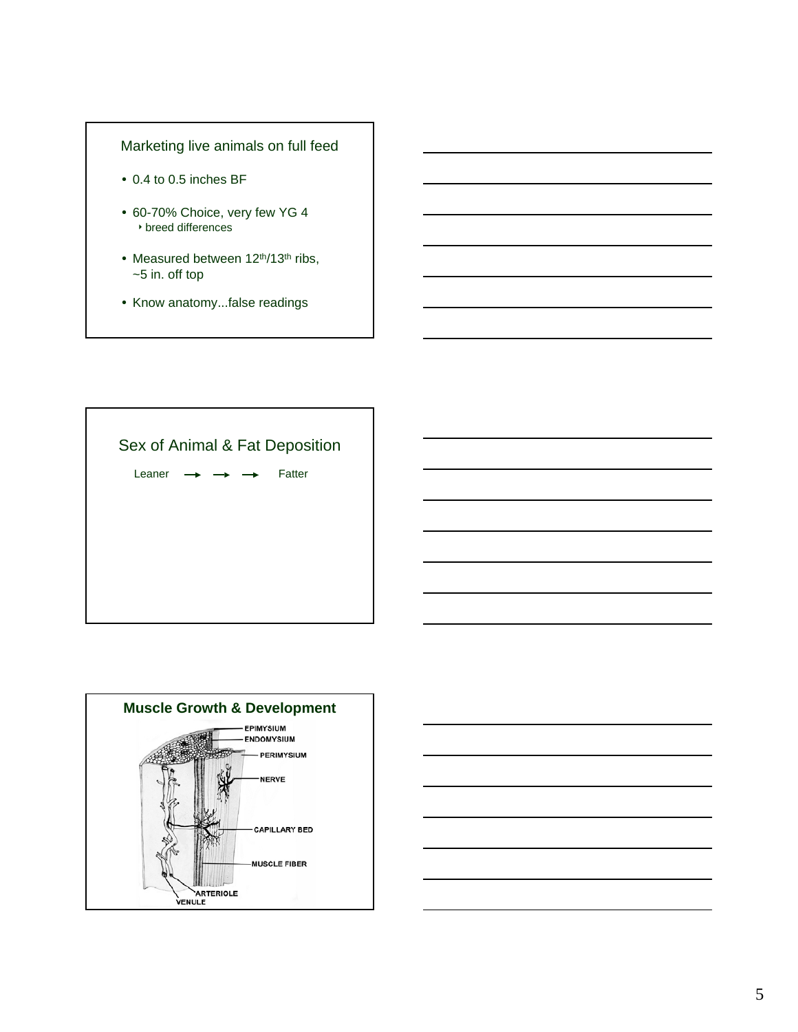### Marketing live animals on full feed

- 0.4 to 0.5 inches BF
- 60-70% Choice, very few YG 4  $\rightarrow$  breed differences
- Measured between 12<sup>th</sup>/13<sup>th</sup> ribs, ~5 in. off top
- Know anatomy...false readings





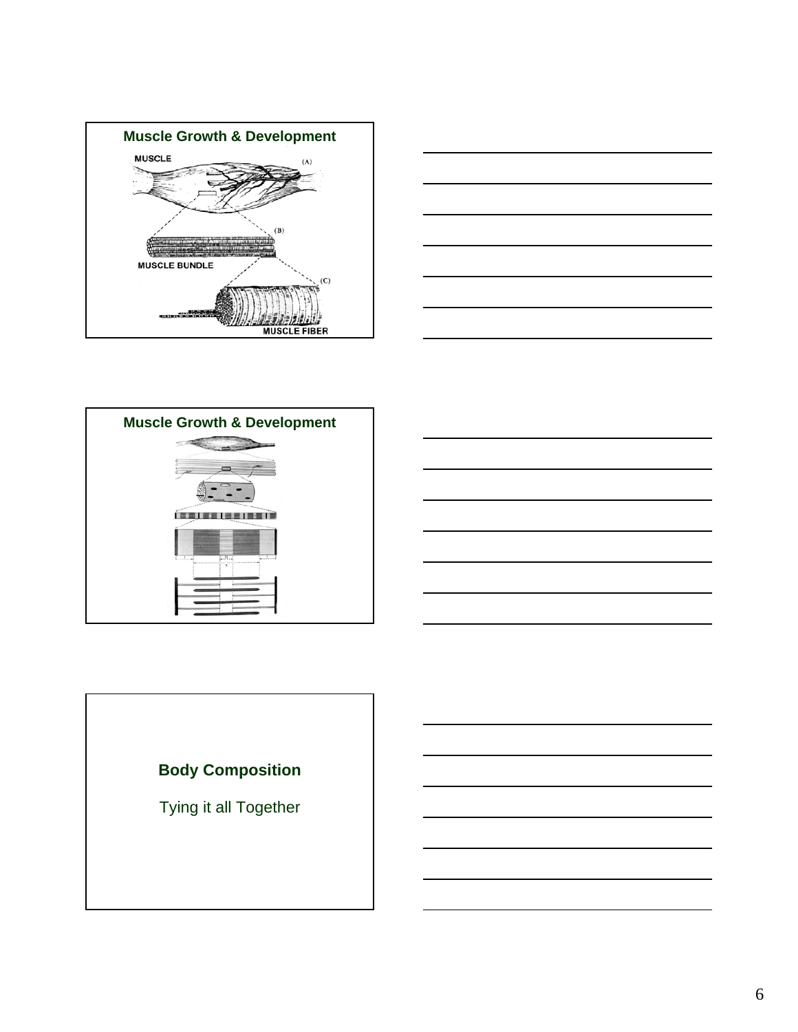







Tying it all Together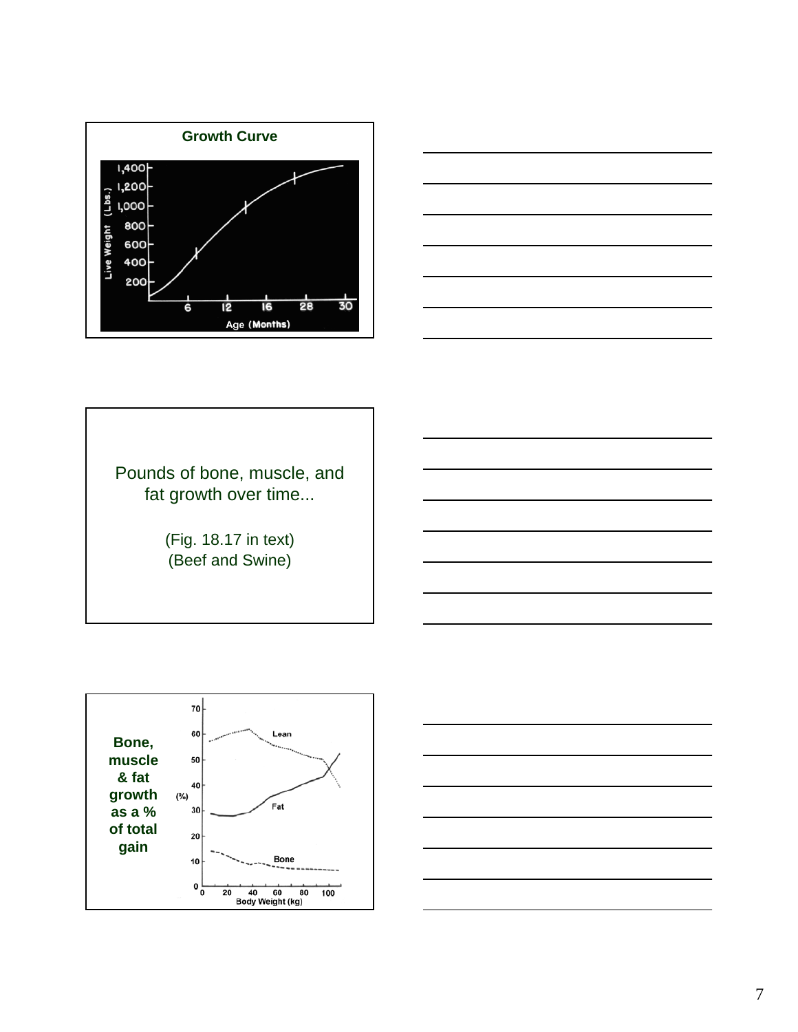



Pounds of bone, muscle, and fat growth over time...

> (Fig. 18.17 in text) (Beef and Swine)



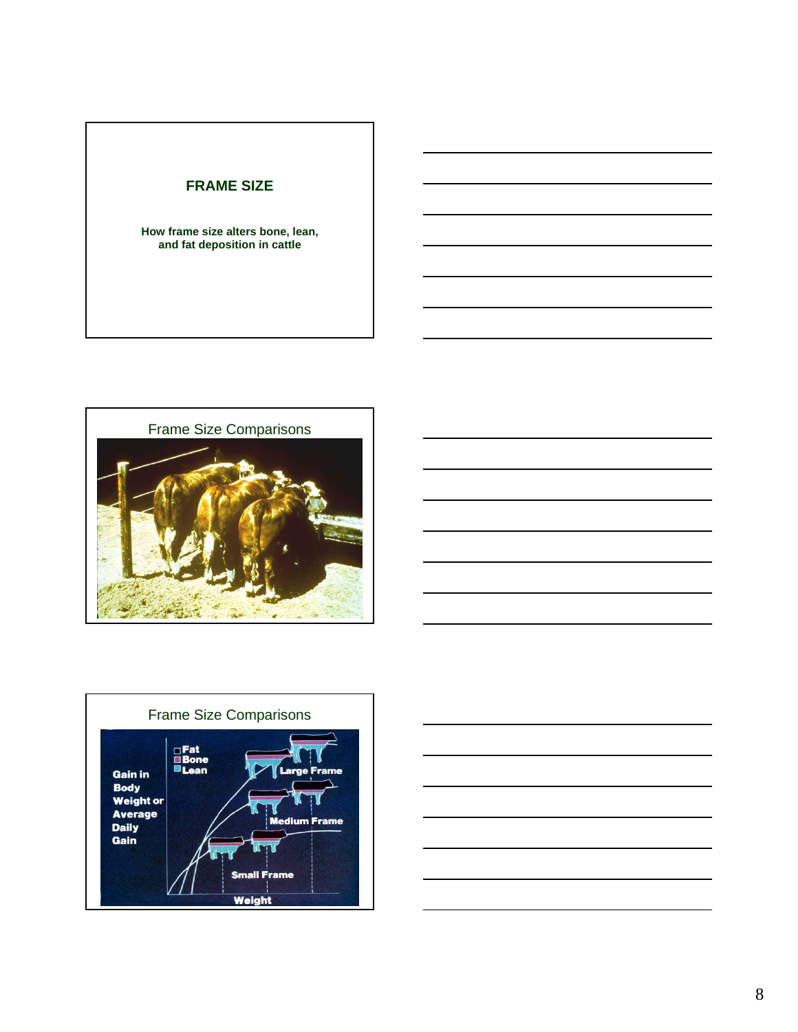# **FRAME SIZE**

**How frame size alters bone, lean, and fat deposition in cattle**